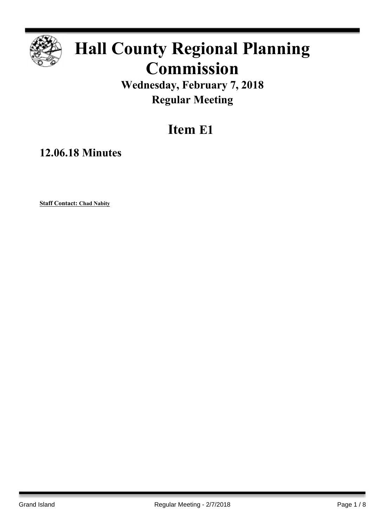

# **Hall County Regional Planning Commission**

**Wednesday, February 7, 2018 Regular Meeting**

# **Item E1**

**12.06.18 Minutes**

**Staff Contact: Chad Nabity**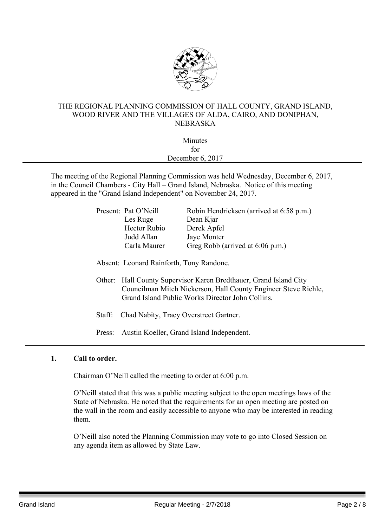

# THE REGIONAL PLANNING COMMISSION OF HALL COUNTY, GRAND ISLAND, WOOD RIVER AND THE VILLAGES OF ALDA, CAIRO, AND DONIPHAN, NEBRASKA

| Minutes          |  |
|------------------|--|
| for              |  |
| December 6, 2017 |  |
|                  |  |

The meeting of the Regional Planning Commission was held Wednesday, December 6, 2017, in the Council Chambers - City Hall – Grand Island, Nebraska. Notice of this meeting appeared in the "Grand Island Independent" on November 24, 2017.

| Present: Pat O'Neill | Robin Hendricksen (arrived at 6:58 p.m.) |
|----------------------|------------------------------------------|
| Les Ruge             | Dean Kjar                                |
| <b>Hector Rubio</b>  | Derek Apfel                              |
| Judd Allan           | Jaye Monter                              |
| Carla Maurer         | Greg Robb (arrived at 6:06 p.m.)         |
|                      |                                          |

Absent: Leonard Rainforth, Tony Randone.

- Other: Hall County Supervisor Karen Bredthauer, Grand Island City Councilman Mitch Nickerson, Hall County Engineer Steve Riehle, Grand Island Public Works Director John Collins.
- Staff: Chad Nabity, Tracy Overstreet Gartner.
- Press: Austin Koeller, Grand Island Independent.

#### **1. Call to order.**

Chairman O'Neill called the meeting to order at 6:00 p.m.

O'Neill stated that this was a public meeting subject to the open meetings laws of the State of Nebraska. He noted that the requirements for an open meeting are posted on the wall in the room and easily accessible to anyone who may be interested in reading them.

O'Neill also noted the Planning Commission may vote to go into Closed Session on any agenda item as allowed by State Law.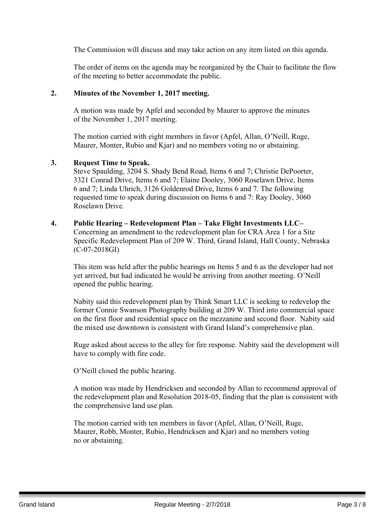The Commission will discuss and may take action on any item listed on this agenda.

The order of items on the agenda may be reorganized by the Chair to facilitate the flow of the meeting to better accommodate the public.

#### **2. Minutes of the November 1, 2017 meeting.**

A motion was made by Apfel and seconded by Maurer to approve the minutes of the November 1, 2017 meeting.

The motion carried with eight members in favor (Apfel, Allan, O'Neill, Ruge, Maurer, Monter, Rubio and Kjar) and no members voting no or abstaining.

#### **3. Request Time to Speak.**

Steve Spaulding, 3204 S. Shady Bend Road, Items 6 and 7; Christie DePoorter, 3321 Conrad Drive, Items 6 and 7; Elaine Dooley, 3060 Roselawn Drive, Items 6 and 7; Linda Uhrich, 3126 Goldenrod Drive, Items 6 and 7. The following requested time to speak during discussion on Items 6 and 7: Ray Dooley, 3060 Roselawn Drive.

#### **4. Public Hearing – Redevelopment Plan – Take Flight Investments LLC–**

Concerning an amendment to the redevelopment plan for CRA Area 1 for a Site Specific Redevelopment Plan of 209 W. Third, Grand Island, Hall County, Nebraska (C-07-2018GI)

This item was held after the public hearings on Items 5 and 6 as the developer had not yet arrived, but had indicated he would be arriving from another meeting. O'Neill opened the public hearing.

Nabity said this redevelopment plan by Think Smart LLC is seeking to redevelop the former Connie Swanson Photography building at 209 W. Third into commercial space on the first floor and residential space on the mezzanine and second floor. Nabity said the mixed use downtown is consistent with Grand Island's comprehensive plan.

Ruge asked about access to the alley for fire response. Nabity said the development will have to comply with fire code.

O'Neill closed the public hearing.

A motion was made by Hendricksen and seconded by Allan to recommend approval of the redevelopment plan and Resolution 2018-05, finding that the plan is consistent with the comprehensive land use plan.

The motion carried with ten members in favor (Apfel, Allan, O'Neill, Ruge, Maurer, Robb, Monter, Rubio, Hendricksen and Kjar) and no members voting no or abstaining.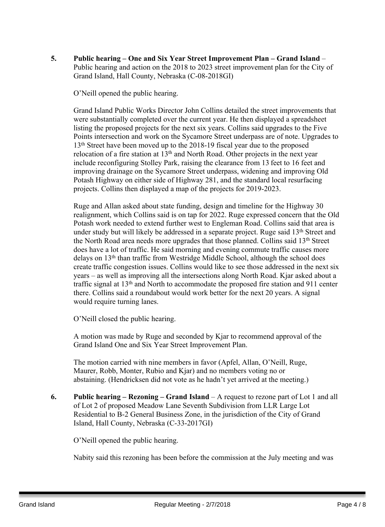**5. Public hearing – One and Six Year Street Improvement Plan – Grand Island** – Public hearing and action on the 2018 to 2023 street improvement plan for the City of Grand Island, Hall County, Nebraska (C-08-2018GI)

O'Neill opened the public hearing.

Grand Island Public Works Director John Collins detailed the street improvements that were substantially completed over the current year. He then displayed a spreadsheet listing the proposed projects for the next six years. Collins said upgrades to the Five Points intersection and work on the Sycamore Street underpass are of note. Upgrades to 13<sup>th</sup> Street have been moved up to the 2018-19 fiscal year due to the proposed relocation of a fire station at  $13<sup>th</sup>$  and North Road. Other projects in the next year include reconfiguring Stolley Park, raising the clearance from 13 feet to 16 feet and improving drainage on the Sycamore Street underpass, widening and improving Old Potash Highway on either side of Highway 281, and the standard local resurfacing projects. Collins then displayed a map of the projects for 2019-2023.

Ruge and Allan asked about state funding, design and timeline for the Highway 30 realignment, which Collins said is on tap for 2022. Ruge expressed concern that the Old Potash work needed to extend further west to Engleman Road. Collins said that area is under study but will likely be addressed in a separate project. Ruge said 13<sup>th</sup> Street and the North Road area needs more upgrades that those planned. Collins said 13th Street does have a lot of traffic. He said morning and evening commute traffic causes more delays on 13th than traffic from Westridge Middle School, although the school does create traffic congestion issues. Collins would like to see those addressed in the next six years – as well as improving all the intersections along North Road. Kjar asked about a traffic signal at 13th and North to accommodate the proposed fire station and 911 center there. Collins said a roundabout would work better for the next 20 years. A signal would require turning lanes.

O'Neill closed the public hearing.

A motion was made by Ruge and seconded by Kjar to recommend approval of the Grand Island One and Six Year Street Improvement Plan.

The motion carried with nine members in favor (Apfel, Allan, O'Neill, Ruge, Maurer, Robb, Monter, Rubio and Kjar) and no members voting no or abstaining. (Hendricksen did not vote as he hadn't yet arrived at the meeting.)

**6. Public hearing – Rezoning – Grand Island** – A request to rezone part of Lot 1 and all of Lot 2 of proposed Meadow Lane Seventh Subdivision from LLR Large Lot Residential to B-2 General Business Zone, in the jurisdiction of the City of Grand Island, Hall County, Nebraska (C-33-2017GI)

O'Neill opened the public hearing.

Nabity said this rezoning has been before the commission at the July meeting and was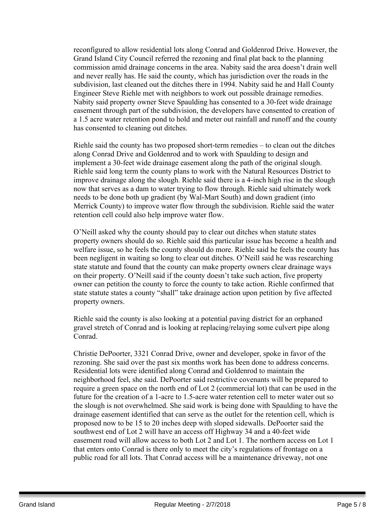reconfigured to allow residential lots along Conrad and Goldenrod Drive. However, the Grand Island City Council referred the rezoning and final plat back to the planning commission amid drainage concerns in the area. Nabity said the area doesn't drain well and never really has. He said the county, which has jurisdiction over the roads in the subdivision, last cleaned out the ditches there in 1994. Nabity said he and Hall County Engineer Steve Riehle met with neighbors to work out possible drainage remedies. Nabity said property owner Steve Spaulding has consented to a 30-feet wide drainage easement through part of the subdivision, the developers have consented to creation of a 1.5 acre water retention pond to hold and meter out rainfall and runoff and the county has consented to cleaning out ditches.

Riehle said the county has two proposed short-term remedies – to clean out the ditches along Conrad Drive and Goldenrod and to work with Spaulding to design and implement a 30-feet wide drainage easement along the path of the original slough. Riehle said long term the county plans to work with the Natural Resources District to improve drainage along the slough. Riehle said there is a 4-inch high rise in the slough now that serves as a dam to water trying to flow through. Riehle said ultimately work needs to be done both up gradient (by Wal-Mart South) and down gradient (into Merrick County) to improve water flow through the subdivision. Riehle said the water retention cell could also help improve water flow.

O'Neill asked why the county should pay to clear out ditches when statute states property owners should do so. Riehle said this particular issue has become a health and welfare issue, so he feels the county should do more. Riehle said he feels the county has been negligent in waiting so long to clear out ditches. O'Neill said he was researching state statute and found that the county can make property owners clear drainage ways on their property. O'Neill said if the county doesn't take such action, five property owner can petition the county to force the county to take action. Riehle confirmed that state statute states a county "shall" take drainage action upon petition by five affected property owners.

Riehle said the county is also looking at a potential paving district for an orphaned gravel stretch of Conrad and is looking at replacing/relaying some culvert pipe along Conrad.

Christie DePoorter, 3321 Conrad Drive, owner and developer, spoke in favor of the rezoning. She said over the past six months work has been done to address concerns. Residential lots were identified along Conrad and Goldenrod to maintain the neighborhood feel, she said. DePoorter said restrictive covenants will be prepared to require a green space on the north end of Lot 2 (commercial lot) that can be used in the future for the creation of a 1-acre to 1.5-acre water retention cell to meter water out so the slough is not overwhelmed. She said work is being done with Spaulding to have the drainage easement identified that can serve as the outlet for the retention cell, which is proposed now to be 15 to 20 inches deep with sloped sidewalls. DePoorter said the southwest end of Lot 2 will have an access off Highway 34 and a 40-feet wide easement road will allow access to both Lot 2 and Lot 1. The northern access on Lot 1 that enters onto Conrad is there only to meet the city's regulations of frontage on a public road for all lots. That Conrad access will be a maintenance driveway, not one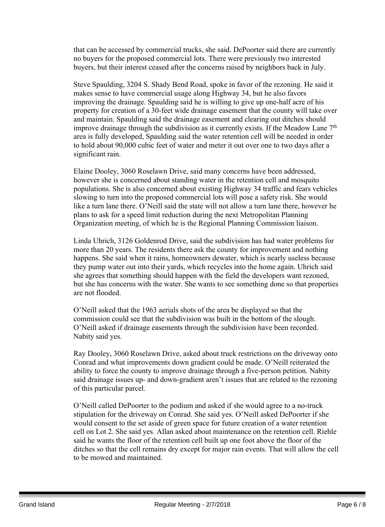that can be accessed by commercial trucks, she said. DePoorter said there are currently no buyers for the proposed commercial lots. There were previously two interested buyers, but their interest ceased after the concerns raised by neighbors back in July.

Steve Spaulding, 3204 S. Shady Bend Road, spoke in favor of the rezoning. He said it makes sense to have commercial usage along Highway 34, but he also favors improving the drainage. Spaulding said he is willing to give up one-half acre of his property for creation of a 30-feet wide drainage easement that the county will take over and maintain. Spaulding said the drainage easement and clearing out ditches should improve drainage through the subdivision as it currently exists. If the Meadow Lane  $7<sup>th</sup>$ area is fully developed, Spaulding said the water retention cell will be needed in order to hold about 90,000 cubic feet of water and meter it out over one to two days after a significant rain.

Elaine Dooley, 3060 Roselawn Drive, said many concerns have been addressed, however she is concerned about standing water in the retention cell and mosquito populations. She is also concerned about existing Highway 34 traffic and fears vehicles slowing to turn into the proposed commercial lots will pose a safety risk. She would like a turn lane there. O'Neill said the state will not allow a turn lane there, however he plans to ask for a speed limit reduction during the next Metropolitan Planning Organization meeting, of which he is the Regional Planning Commission liaison.

Linda Uhrich, 3126 Goldenrod Drive, said the subdivision has had water problems for more than 20 years. The residents there ask the county for improvement and nothing happens. She said when it rains, homeowners dewater, which is nearly useless because they pump water out into their yards, which recycles into the home again. Uhrich said she agrees that something should happen with the field the developers want rezoned, but she has concerns with the water. She wants to see something done so that properties are not flooded.

O'Neill asked that the 1963 aerials shots of the area be displayed so that the commission could see that the subdivision was built in the bottom of the slough. O'Neill asked if drainage easements through the subdivision have been recorded. Nabity said yes.

Ray Dooley, 3060 Roselawn Drive, asked about truck restrictions on the driveway onto Conrad and what improvements down gradient could be made. O'Neill reiterated the ability to force the county to improve drainage through a five-person petition. Nabity said drainage issues up- and down-gradient aren't issues that are related to the rezoning of this particular parcel.

O'Neill called DePoorter to the podium and asked if she would agree to a no-truck stipulation for the driveway on Conrad. She said yes. O'Neill asked DePoorter if she would consent to the set aside of green space for future creation of a water retention cell on Lot 2. She said yes. Allan asked about maintenance on the retention cell. Riehle said he wants the floor of the retention cell built up one foot above the floor of the ditches so that the cell remains dry except for major rain events. That will allow the cell to be mowed and maintained.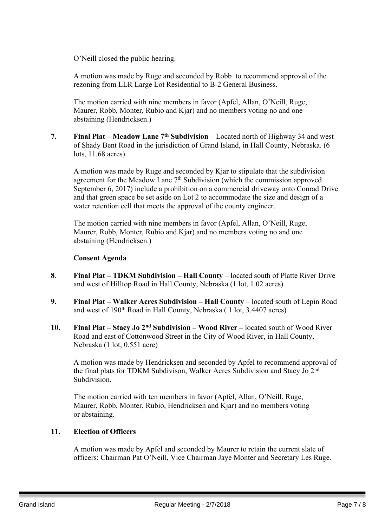O'Neill closed the public hearing.

A motion was made by Ruge and seconded by Robb to recommend approval of the rezoning from LLR Large Lot Residential to B-2 General Business.

The motion carried with nine members in favor (Apfel, Allan, O'Neill, Ruge, Maurer, Robb, Monter, Rubio and Kjar) and no members voting no and one abstaining (Hendricksen.)

**7. Final Plat – Meadow Lane 7 th Subdivision** – Located north of Highway 34 and west of Shady Bent Road in the jurisdiction of Grand Island, in Hall County, Nebraska. (6 lots, 11.68 acres)

A motion was made by Ruge and seconded by Kjar to stipulate that the subdivision agreement for the Meadow Lane 7<sup>th</sup> Subdivision (which the commission approved September 6, 2017) include a prohibition on a commercial driveway onto Conrad Drive and that green space be set aside on Lot 2 to accommodate the size and design of a water retention cell that meets the approval of the county engineer.

The motion carried with nine members in favor (Apfel, Allan, O'Neill, Ruge, Maurer, Robb, Monter, Rubio and Kjar) and no members voting no and one abstaining (Hendricksen.)

# **Consent Agenda**

- **8**. **Final Plat – TDKM Subdivision – Hall County** located south of Platte River Drive and west of Hilltop Road in Hall County, Nebraska (1 lot, 1.02 acres)
- **9. Final Plat – Walker Acres Subdivision – Hall County** located south of Lepin Road and west of 190th Road in Hall County, Nebraska ( 1 lot, 3.4407 acres)
- **10. Final Plat – Stacy Jo 2 nd Subdivision – Wood River –** located south of Wood River Road and east of Cottonwood Street in the City of Wood River, in Hall County, Nebraska (1 lot, 0.551 acre)

A motion was made by Hendricksen and seconded by Apfel to recommend approval of the final plats for TDKM Subdivison, Walker Acres Subdivision and Stacy Jo 2<sup>nd</sup> Subdivision.

The motion carried with ten members in favor (Apfel, Allan, O'Neill, Ruge, Maurer, Robb, Monter, Rubio, Hendricksen and Kjar) and no members voting or abstaining.

# **11. Election of Officers**

A motion was made by Apfel and seconded by Maurer to retain the current slate of officers: Chairman Pat O'Neill, Vice Chairman Jaye Monter and Secretary Les Ruge.